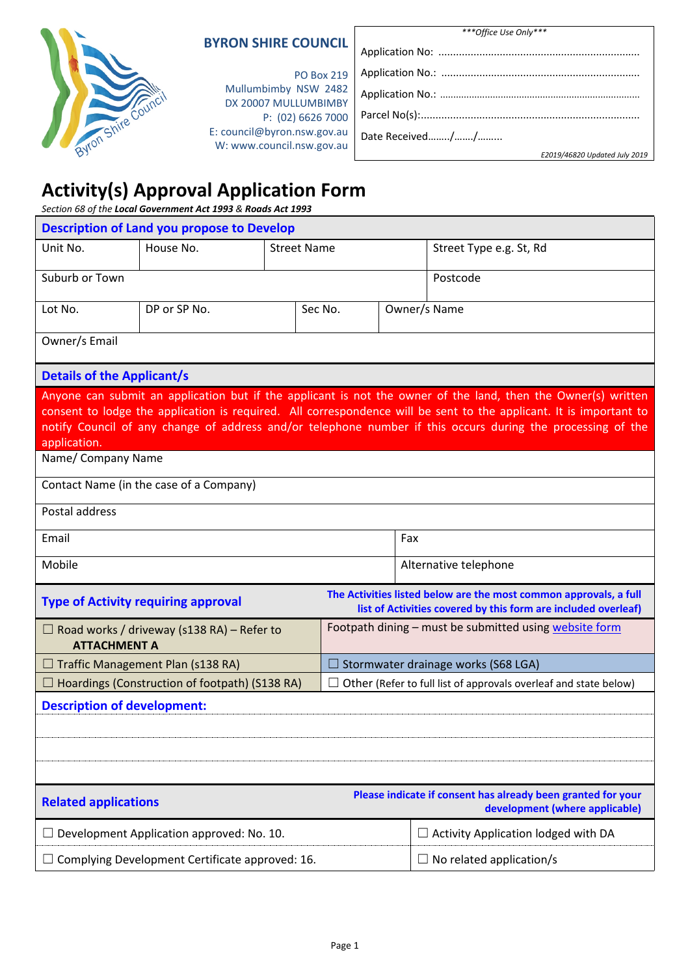| <b>BYRON SHIRE COUNCIL</b> |
|----------------------------|
|----------------------------|

*\*\*\*Office Use Only\*\*\**

| Byron Shire Council |  |
|---------------------|--|

#### PO Box 219 Mullumbimby NSW 2482 DX 20007 MULLUMBIMBY P: (02) 6626 7000 E: [council@byron.nsw.gov.au](mailto:council@byron.nsw.gov.au) W: www.council.nsw.gov.au

|                 | E2019/46820 Updated July 2019 |
|-----------------|-------------------------------|
| Date Received// |                               |
|                 |                               |
|                 |                               |
|                 |                               |
|                 |                               |

# **Activity(s) Approval Application Form**

*Section 68 of the Local Government Act 1993 & Roads Act 1993*

| <b>Description of Land you propose to Develop</b>                                                                                                                                 |                                                                                                                           |  |                                                        |                                            |  |                                                                                                                                                                                                                                                                                                                                                    |
|-----------------------------------------------------------------------------------------------------------------------------------------------------------------------------------|---------------------------------------------------------------------------------------------------------------------------|--|--------------------------------------------------------|--------------------------------------------|--|----------------------------------------------------------------------------------------------------------------------------------------------------------------------------------------------------------------------------------------------------------------------------------------------------------------------------------------------------|
| Unit No.                                                                                                                                                                          | House No.                                                                                                                 |  | <b>Street Name</b>                                     |                                            |  | Street Type e.g. St, Rd                                                                                                                                                                                                                                                                                                                            |
| Suburb or Town                                                                                                                                                                    |                                                                                                                           |  |                                                        | Postcode                                   |  |                                                                                                                                                                                                                                                                                                                                                    |
| Lot No.                                                                                                                                                                           | DP or SP No.                                                                                                              |  | Sec No.                                                |                                            |  | Owner/s Name                                                                                                                                                                                                                                                                                                                                       |
| Owner/s Email                                                                                                                                                                     |                                                                                                                           |  |                                                        |                                            |  |                                                                                                                                                                                                                                                                                                                                                    |
| <b>Details of the Applicant/s</b>                                                                                                                                                 |                                                                                                                           |  |                                                        |                                            |  |                                                                                                                                                                                                                                                                                                                                                    |
| application.                                                                                                                                                                      |                                                                                                                           |  |                                                        |                                            |  | Anyone can submit an application but if the applicant is not the owner of the land, then the Owner(s) written<br>consent to lodge the application is required. All correspondence will be sent to the applicant. It is important to<br>notify Council of any change of address and/or telephone number if this occurs during the processing of the |
| Name/ Company Name                                                                                                                                                                |                                                                                                                           |  |                                                        |                                            |  |                                                                                                                                                                                                                                                                                                                                                    |
|                                                                                                                                                                                   | Contact Name (in the case of a Company)                                                                                   |  |                                                        |                                            |  |                                                                                                                                                                                                                                                                                                                                                    |
| Postal address                                                                                                                                                                    |                                                                                                                           |  |                                                        |                                            |  |                                                                                                                                                                                                                                                                                                                                                    |
| Email                                                                                                                                                                             |                                                                                                                           |  |                                                        | Fax                                        |  |                                                                                                                                                                                                                                                                                                                                                    |
| Mobile                                                                                                                                                                            |                                                                                                                           |  |                                                        | Alternative telephone                      |  |                                                                                                                                                                                                                                                                                                                                                    |
| The Activities listed below are the most common approvals, a full<br><b>Type of Activity requiring approval</b><br>list of Activities covered by this form are included overleaf) |                                                                                                                           |  |                                                        |                                            |  |                                                                                                                                                                                                                                                                                                                                                    |
| <b>ATTACHMENT A</b>                                                                                                                                                               | $\Box$ Road works / driveway (s138 RA) – Refer to                                                                         |  | Footpath dining - must be submitted using website form |                                            |  |                                                                                                                                                                                                                                                                                                                                                    |
|                                                                                                                                                                                   | $\Box$ Traffic Management Plan (s138 RA)                                                                                  |  |                                                        | $\Box$ Stormwater drainage works (S68 LGA) |  |                                                                                                                                                                                                                                                                                                                                                    |
|                                                                                                                                                                                   | $\Box$ Hoardings (Construction of footpath) (S138 RA)<br>Other (Refer to full list of approvals overleaf and state below) |  |                                                        |                                            |  |                                                                                                                                                                                                                                                                                                                                                    |
| <b>Description of development:</b>                                                                                                                                                |                                                                                                                           |  |                                                        |                                            |  |                                                                                                                                                                                                                                                                                                                                                    |
|                                                                                                                                                                                   |                                                                                                                           |  |                                                        |                                            |  |                                                                                                                                                                                                                                                                                                                                                    |
|                                                                                                                                                                                   |                                                                                                                           |  |                                                        |                                            |  |                                                                                                                                                                                                                                                                                                                                                    |
|                                                                                                                                                                                   |                                                                                                                           |  |                                                        |                                            |  |                                                                                                                                                                                                                                                                                                                                                    |
| <b>Related applications</b>                                                                                                                                                       |                                                                                                                           |  |                                                        |                                            |  | Please indicate if consent has already been granted for your<br>development (where applicable)                                                                                                                                                                                                                                                     |
| ⊔                                                                                                                                                                                 | Development Application approved: No. 10.                                                                                 |  |                                                        |                                            |  | $\Box$ Activity Application lodged with DA                                                                                                                                                                                                                                                                                                         |
|                                                                                                                                                                                   | $\Box$ Complying Development Certificate approved: 16.                                                                    |  |                                                        |                                            |  | $\Box$ No related application/s                                                                                                                                                                                                                                                                                                                    |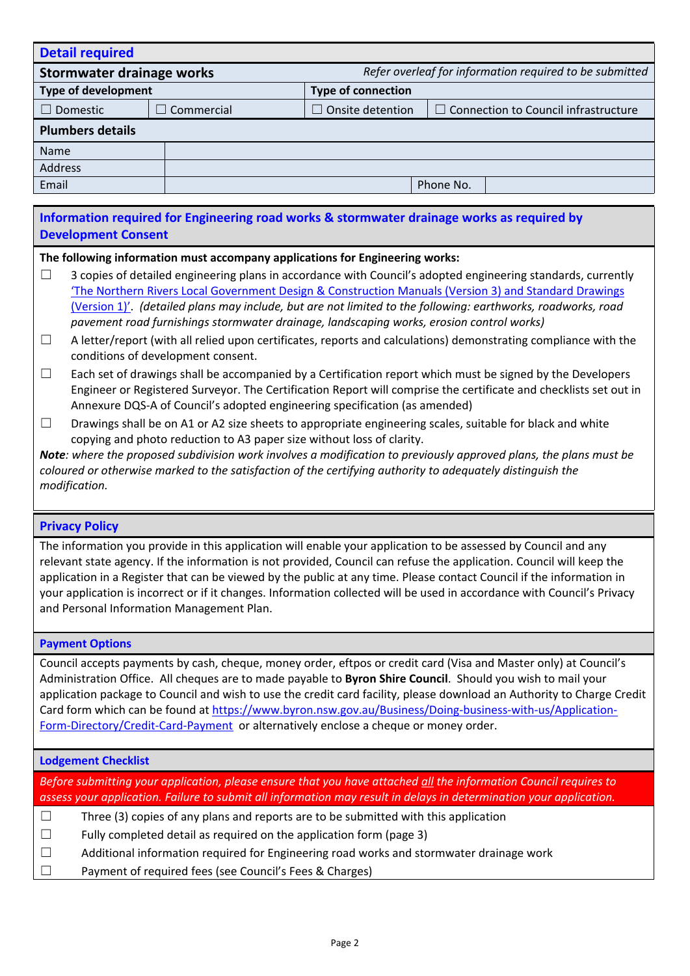| <b>Detail required</b>                                                               |            |                         |                                             |
|--------------------------------------------------------------------------------------|------------|-------------------------|---------------------------------------------|
| Refer overleaf for information required to be submitted<br>Stormwater drainage works |            |                         |                                             |
| Type of development<br><b>Type of connection</b>                                     |            |                         |                                             |
| Domestic                                                                             | Commercial | $\Box$ Onsite detention | $\Box$ Connection to Council infrastructure |
| <b>Plumbers details</b>                                                              |            |                         |                                             |
| Name                                                                                 |            |                         |                                             |
| <b>Address</b>                                                                       |            |                         |                                             |
| Email                                                                                |            |                         | Phone No.                                   |
|                                                                                      |            |                         |                                             |

## **Information required for Engineering road works & stormwater drainage works as required by Development Consent**

#### **The following information must accompany applications for Engineering works:**

- $\Box$  3 copies of detailed engineering plans in accordance with Council's adopted engineering standards, currently 'The Northern Rivers Local Government Design & [Construction](http://www.byron.nsw.gov.au/development-design-manuals) Manuals (Version 3) and Standard Drawings [\(Version](http://www.byron.nsw.gov.au/development-design-manuals) 1)'. *(detailed plans may include, but are not limited to the following: earthworks, roadworks, road pavement road furnishings stormwater drainage, landscaping works, erosion control works)*
- $\Box$  A letter/report (with all relied upon certificates, reports and calculations) demonstrating compliance with the conditions of development consent.
- $\Box$  Each set of drawings shall be accompanied by a Certification report which must be signed by the Developers Engineer or Registered Surveyor. The Certification Report will comprise the certificate and checklists set out in Annexure DQS-A of Council's adopted engineering specification (as amended)
- $\Box$  Drawings shall be on A1 or A2 size sheets to appropriate engineering scales, suitable for black and white copying and photo reduction to A3 paper size without loss of clarity.

Note: where the proposed subdivision work involves a modification to previously approved plans, the plans must be *coloured or otherwise marked to the satisfaction of the certifying authority to adequately distinguish the modification.*

#### **Privacy Policy**

The information you provide in this application will enable your application to be assessed by Council and any relevant state agency. If the information is not provided, Council can refuse the application. Council will keep the application in a Register that can be viewed by the public at any time. Please contact Council if the information in your application is incorrect or if it changes. Information collected will be used in accordance with Council's Privacy and Personal Information Management Plan.

#### **Payment Options**

Council accepts payments by cash, cheque, money order, eftpos or credit card (Visa and Master only) at Council's Administration Office. All cheques are to made payable to **Byron Shire Council**. Should you wish to mail your application package to Council and wish to use the credit card facility, please download an Authority to Charge Credit Card form which can be found at [https://www.byron.nsw.gov.au/Business/Doing-business-with-us/Application-](https://www.byron.nsw.gov.au/Business/Doing-business-with-us/Application-Form-Directory/Credit-Card-Payment)[Form-Directory/Credit-Card-Payment](https://www.byron.nsw.gov.au/Business/Doing-business-with-us/Application-Form-Directory/Credit-Card-Payment) or alternatively enclose a cheque or money order.

#### **Lodgement Checklist**

*Before submitting your application, please ensure that you have attached all the information Council requires to* assess your application. Failure to submit all information may result in delays in determination your application.

- $\Box$  Three (3) copies of any plans and reports are to be submitted with this application
- $\Box$  Fully completed detail as required on the application form (page 3)
- ☐ Additional information required for Engineering road works and stormwater drainage work
- ☐ Payment of required fees (see Council's Fees & Charges)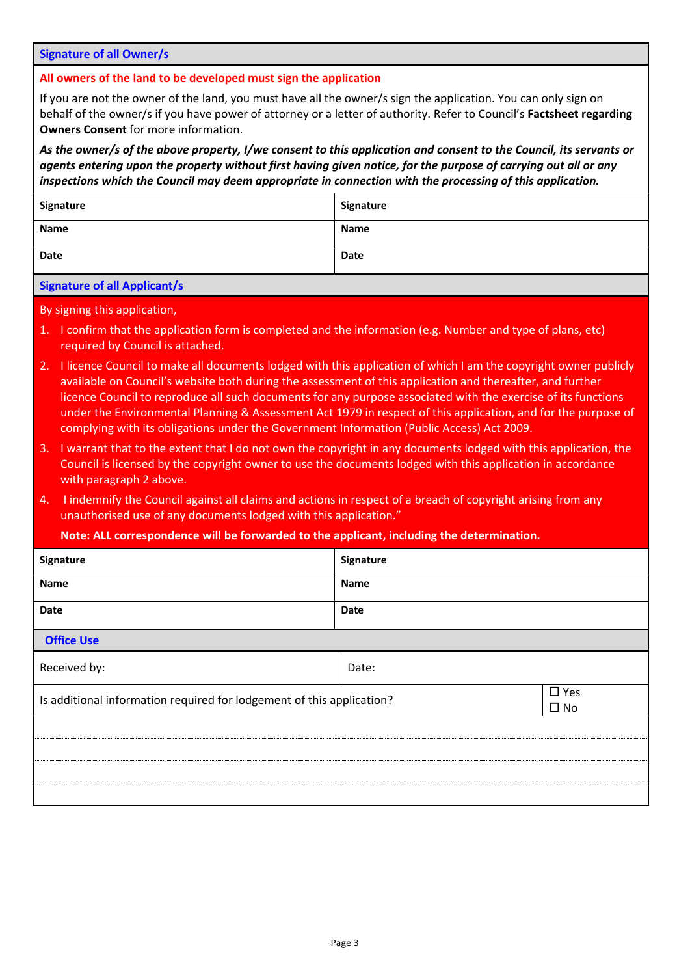#### **Signature of all Owner/s**

**All owners of the land to be developed must sign the application**

If you are not the owner of the land, you must have all the owner/s sign the application. You can only sign on behalf of the owner/s if you have power of attorney or a letter of authority. Refer to Council's **Factsheet regarding Owners Consent** for more information.

As the owner/s of the above property, I/we consent to this application and consent to the Council, its servants or agents entering upon the property without first having given notice, for the purpose of carrying out all or any *inspections which the Council may deem appropriate in connection with the processing of this application.*

| Signature   | Signature   |
|-------------|-------------|
| <b>Name</b> | <b>Name</b> |
| Date        | Date        |

#### **Signature of all Applicant/s**

By signing this application,

- 1. I confirm that the application form is completed and the information (e.g. Number and type of plans, etc) required by Council is attached.
- 2. I licence Council to make all documents lodged with this application of which I am the copyright owner publicly available on Council's website both during the assessment of this application and thereafter, and further licence Council to reproduce all such documents for any purpose associated with the exercise of its functions under the Environmental Planning & Assessment Act 1979 in respect of this application, and for the purpose of complying with its obligations under the Government Information (Public Access) Act 2009.
- 3. I warrant that to the extent that I do not own the copyright in any documents lodged with this application, the Council is licensed by the copyright owner to use the documents lodged with this application in accordance with paragraph 2 above.
- 4. I indemnify the Council against all claims and actions in respect of a breach of copyright arising from any unauthorised use of any documents lodged with this application."

**Note: ALL correspondence will be forwarded to the applicant, including the determination.**

| Signature                                                             | Signature |                               |
|-----------------------------------------------------------------------|-----------|-------------------------------|
| Name                                                                  | Name      |                               |
| Date                                                                  | Date      |                               |
| <b>Office Use</b>                                                     |           |                               |
| Received by:                                                          | Date:     |                               |
| Is additional information required for lodgement of this application? |           | $\square$ Yes<br>$\square$ No |
|                                                                       |           |                               |
|                                                                       |           |                               |
|                                                                       |           |                               |
|                                                                       |           |                               |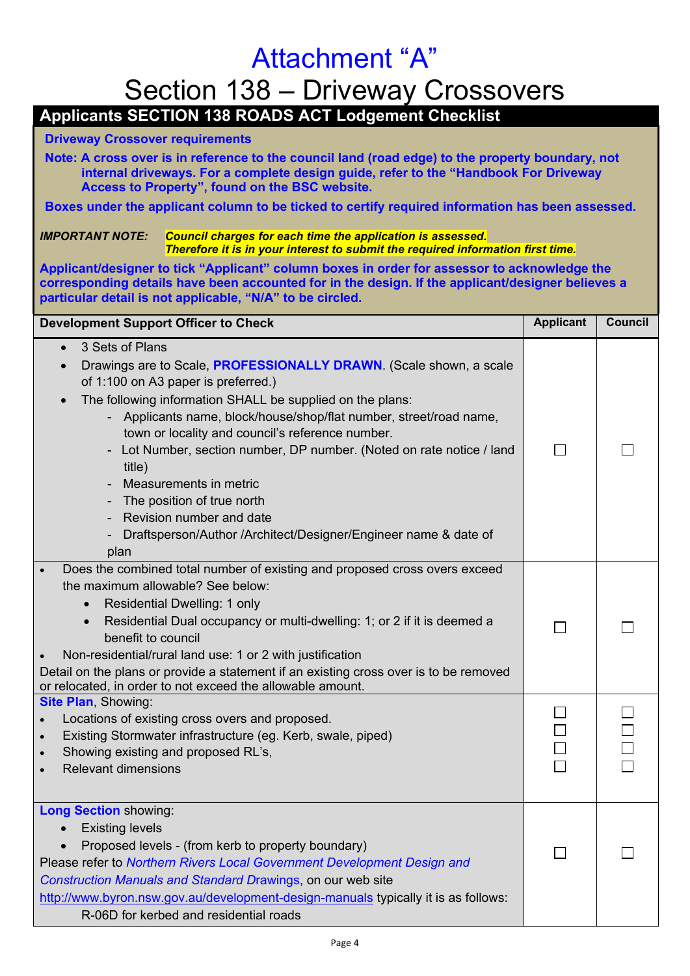# Attachment "A"

# Section 138 – Driveway Crossovers

**Applicants SECTION 138 ROADS ACT Lodgement Checklist**

## **Driveway Crossover requirements**

**Note: A cross over is in reference to the council land (road edge) to the property boundary, not internal driveways. For a complete design guide, refer to the "Handbook For Driveway Access to Property", found on the BSC website.**

**Boxes under the applicant column to be ticked to certify required information has been assessed.**

## *IMPORTANT NOTE: Council charges for each time the application is assessed. Therefore it is in your interest to submit the required information first time.*

**Applicant/designer to tick "Applicant" column boxes in order for assessor to acknowledge the corresponding details have been accounted for in the design. If the applicant/designer believes a particular detail is not applicable, "N/A" to be circled.**

| <b>Development Support Officer to Check</b>                                                                                                                                                                                                                                                                                                                                                                                                                                                                                                                                                                      | <b>Applicant</b> | <b>Council</b> |
|------------------------------------------------------------------------------------------------------------------------------------------------------------------------------------------------------------------------------------------------------------------------------------------------------------------------------------------------------------------------------------------------------------------------------------------------------------------------------------------------------------------------------------------------------------------------------------------------------------------|------------------|----------------|
| 3 Sets of Plans<br>$\bullet$<br>Drawings are to Scale, <b>PROFESSIONALLY DRAWN</b> . (Scale shown, a scale<br>$\bullet$<br>of 1:100 on A3 paper is preferred.)<br>The following information SHALL be supplied on the plans:<br>$\bullet$<br>Applicants name, block/house/shop/flat number, street/road name,<br>town or locality and council's reference number.<br>Lot Number, section number, DP number. (Noted on rate notice / land<br>title)<br>Measurements in metric<br>The position of true north<br>Revision number and date<br>Draftsperson/Author /Architect/Designer/Engineer name & date of<br>plan |                  |                |
| Does the combined total number of existing and proposed cross overs exceed<br>$\bullet$<br>the maximum allowable? See below:<br>Residential Dwelling: 1 only<br>$\bullet$<br>Residential Dual occupancy or multi-dwelling: 1; or 2 if it is deemed a<br>$\bullet$<br>benefit to council<br>Non-residential/rural land use: 1 or 2 with justification<br>Detail on the plans or provide a statement if an existing cross over is to be removed<br>or relocated, in order to not exceed the allowable amount.                                                                                                      |                  |                |
| <b>Site Plan, Showing:</b><br>Locations of existing cross overs and proposed.<br>Existing Stormwater infrastructure (eg. Kerb, swale, piped)<br>$\bullet$<br>Showing existing and proposed RL's,<br>$\bullet$<br><b>Relevant dimensions</b><br>$\bullet$                                                                                                                                                                                                                                                                                                                                                         |                  |                |
| <b>Long Section showing:</b><br><b>Existing levels</b><br>Proposed levels - (from kerb to property boundary)<br>Please refer to Northern Rivers Local Government Development Design and<br>Construction Manuals and Standard Drawings, on our web site<br>http://www.byron.nsw.gov.au/development-design-manuals typically it is as follows:<br>R-06D for kerbed and residential roads                                                                                                                                                                                                                           |                  |                |